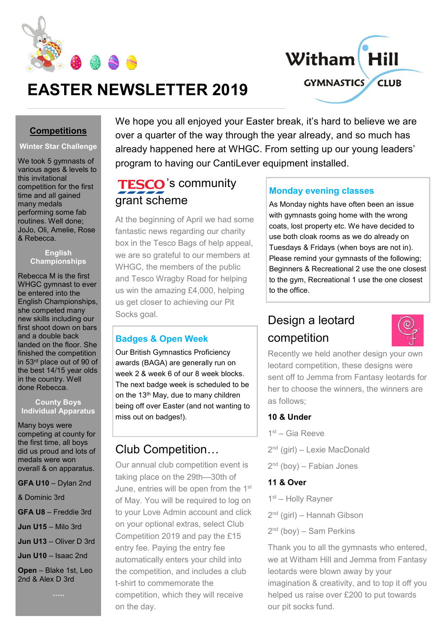



# **EASTER NEWSLETTER 2019**

### **Competitions**

### **Winter Star Challenge**

We took 5 gymnasts of various ages & levels to this invitational competition for the first time and all gained many medals performing some fab routines. Well done; JoJo, Oli, Amelie, Rose & Rebecca.

#### **English Championships**

Rebecca M is the first WHGC gymnast to ever be entered into the English Championships, she competed many new skills including our first shoot down on bars and a double back landed on the floor. She finished the competition in 53rd place out of 90 of the best 14/15 year olds in the country. Well done Rebecca.

#### **County Boys Individual Apparatus**

Many boys were competing at county for the first time, all boys did us proud and lots of medals were won overall & on apparatus.

**GFA U10** – Dylan 2nd

& Dominic 3rd

**GFA U8** – Freddie 3rd

**Jun U15** – Milo 3rd

**Jun U13** – Oliver D 3rd

**Jun U10** – Isaac 2nd

**Open** – Blake 1st, Leo 2nd & Alex D 3rd

We hope you all enjoyed your Easter break, it's hard to believe we are over a quarter of the way through the year already, and so much has already happened here at WHGC. From setting up our young leaders' program to having our CantiLever equipment installed.

# TESCO's community grant scheme

At the beginning of April we had some fantastic news regarding our charity box in the Tesco Bags of help appeal, we are so grateful to our members at WHGC, the members of the public and Tesco Wragby Road for helping us win the amazing £4,000, helping us get closer to achieving our Pit Socks goal.

### **Badges & Open Week**

Our British Gymnastics Proficiency awards (BAGA) are generally run on week 2 & week 6 of our 8 week blocks. The next badge week is scheduled to be on the 13<sup>th</sup> May, due to many children being off over Easter (and not wanting to miss out on badges!).

## Club Competition…

Our annual club competition event is taking place on the 29th—30th of June, entries will be open from the 1<sup>st</sup> of May. You will be required to log on to your Love Admin account and click on your optional extras, select Club Competition 2019 and pay the £15 entry fee. Paying the entry fee automatically enters your child into the competition, and includes a club t-shirt to commemorate the competition, which they will receive on the day.

## **Monday evening classes**

As Monday nights have often been an issue with gymnasts going home with the wrong coats, lost property etc. We have decided to use both cloak rooms as we do already on Tuesdays & Fridays (when boys are not in). Please remind your gymnasts of the following; Beginners & Recreational 2 use the one closest to the gym, Recreational 1 use the one closest to the office.

# Design a leotard competition



Recently we held another design your own leotard competition, these designs were sent off to Jemma from Fantasy leotards for her to choose the winners, the winners are as follows;

### **10 & Under**

- 1<sup>st</sup> Gia Reeve
- 2<sup>nd</sup> (girl) Lexie MacDonald
- 2<sup>nd</sup> (boy) Fabian Jones

### **11 & Over**

- 1<sup>st</sup> Holly Rayner
- 2<sup>nd</sup> (girl) Hannah Gibson
- 2<sup>nd</sup> (boy) Sam Perkins

Thank you to all the gymnasts who entered, we at Witham Hill and Jemma from Fantasy leotards were blown away by your imagination & creativity, and to top it off you helped us raise over £200 to put towards our pit socks fund.